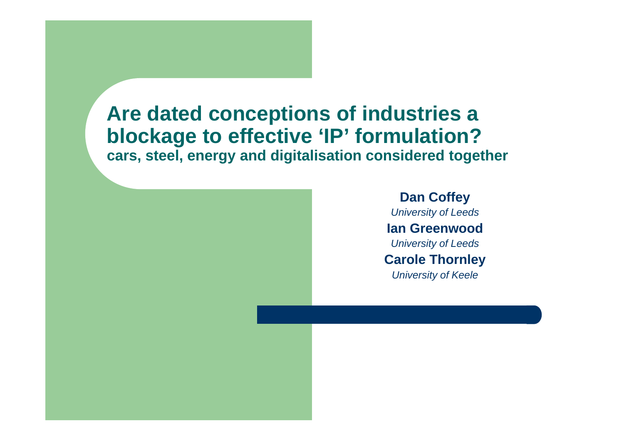#### **Are dated conceptions of industries a blockage to effective 'IP' formulation? cars, steel, energy and digitalisation considered together**

**Dan Coffey** *University of Leeds*  **Ian Greenwood***University of Leeds* **Carole Thornley** *University of Keele*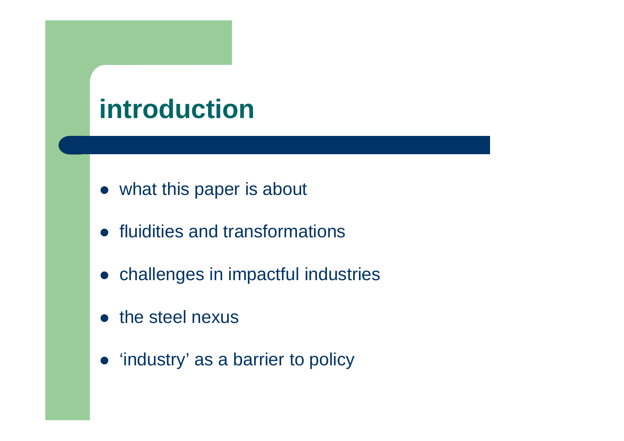## **introduction**

- what this paper is about
- **•** fluidities and transformations
- challenges in impactful industries
- the steel nexus
- 'industry' as a barrier to policy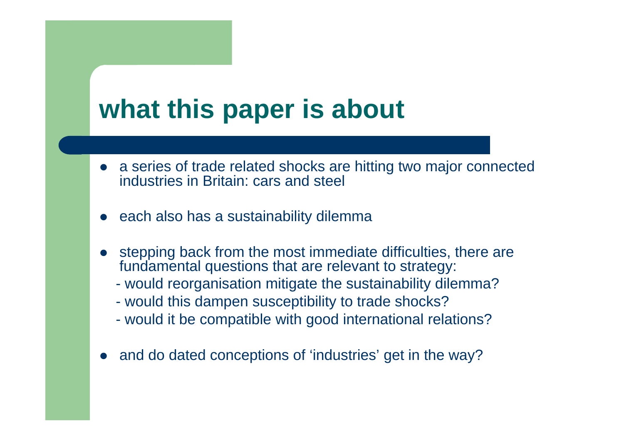## **what this paper is about**

- a series of trade related shocks are hitting two major connected industries in Britain: cars and steel
- $\bullet$ each also has a sustainability dilemma
- $\bullet$  stepping back from the most immediate difficulties, there are fundamental questions that are relevant to strategy:
	- would reorganisation mitigate the sustainability dilemma?
	- would this dampen susceptibility to trade shocks?
	- would it be compatible with good international relations?
- $\bullet$ and do dated conceptions of 'industries' get in the way?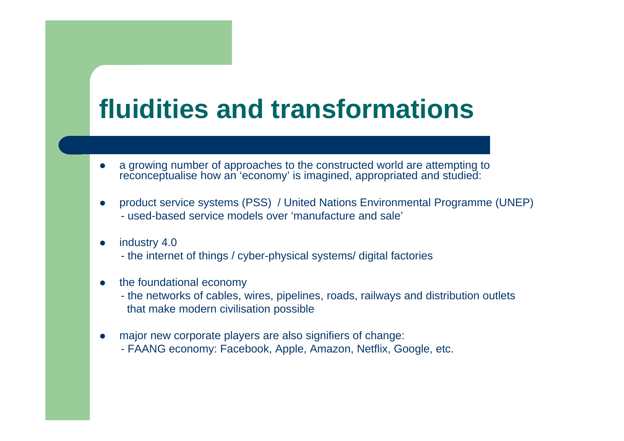## **fluidities and transformations**

- 0 • a growing number of approaches to the constructed world are attempting to reconceptualise how an 'economy' is imagined, appropriated and studied:
- O product service systems (PSS) / United Nations Environmental Programme (UNEP) - used-based service models over 'manufacture and sale'
- 0 industry 4.0 - the internet of things / cyber-physical systems/ digital factories
- 0 the foundational economy
	- the networks of cables, wires, pipelines, roads, railways and distribution outlets that make modern civilisation possible
- 0 major new corporate players are also signifiers of change: - FAANG economy: Facebook, Apple, Amazon, Netflix, Google, etc.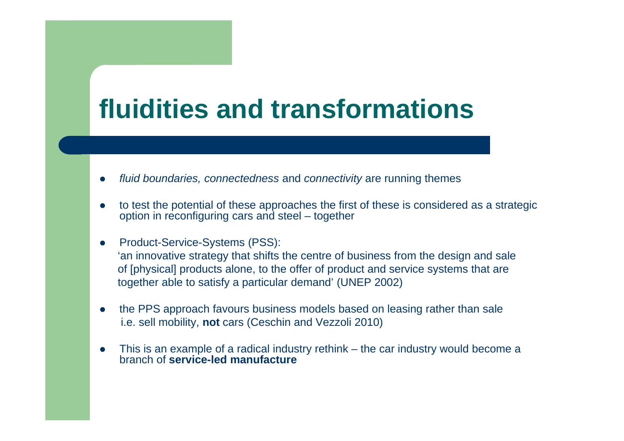## **fluidities and transformations**

- 0 *fluid boundaries, connectedness* and *connectivity* are running themes
- 0 to test the potential of these approaches the first of these is considered as a strategic option in reconfiguring cars and steel – together
- 0 Product-Service-Systems (PSS): 'an innovative strategy that shifts the centre of business from the design and sale of [physical] products alone, to the offer of product and service systems that are together able to satisfy a particular demand' (UNEP 2002)
- 0 the PPS approach favours business models based on leasing rather than sale i.e. sell mobility, **not** cars (Ceschin and Vezzoli 2010)
- 0 This is an example of a radical industry rethink – the car industry would become a branch of **service-led manufacture**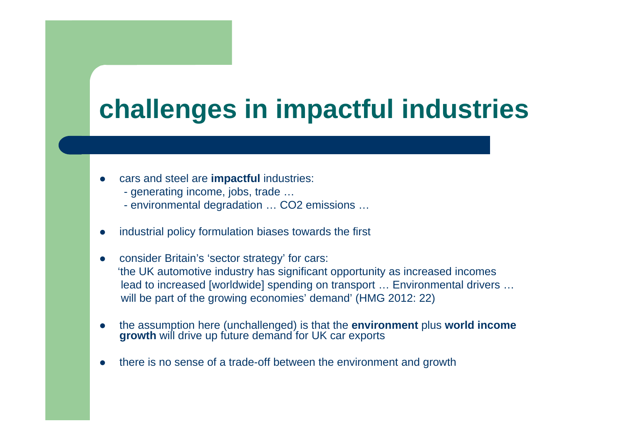# **challenges in impactful industries**

- 0 cars and steel are **impactful** industries:
	- generating income, jobs, trade …
	- environmental degradation … CO2 emissions …
- 0 industrial policy formulation biases towards the first
- 0 consider Britain's 'sector strategy' for cars: 'the UK automotive industry has significant opportunity as increased incomes lead to increased [worldwide] spending on transport … Environmental drivers … will be part of the growing economies' demand' (HMG 2012: 22)
- 0 the assumption here (unchallenged) is that the **environment** plus **world income growth** will drive up future demand for UK car exports
- 0 there is no sense of a trade-off between the environment and growth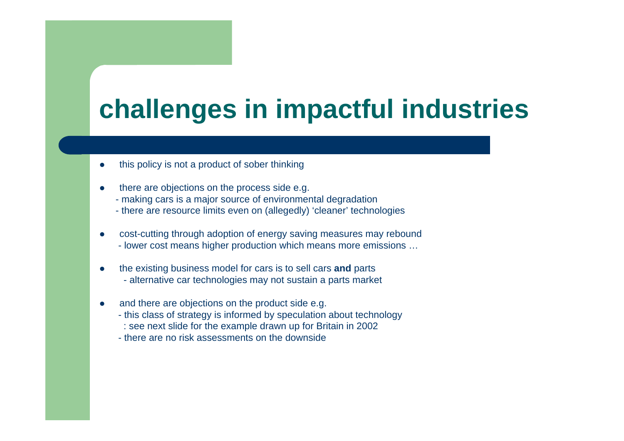# **challenges in impactful industries**

- O this policy is not a product of sober thinking
- 0 there are objections on the process side e.g.
	- making cars is a major source of environmental degradation
	- there are resource limits even on (allegedly) 'cleaner' technologies
- $\bullet$  cost-cutting through adoption of energy saving measures may rebound
	- lower cost means higher production which means more emissions …
- 0 the existing business model for cars is to sell cars **and** parts - alternative car technologies may not sustain a parts market
- O and there are objections on the product side e.g.
	- this class of strategy is informed by speculation about technology
	- : see next slide for the example drawn up for Britain in 2002
	- there are no risk assessments on the downside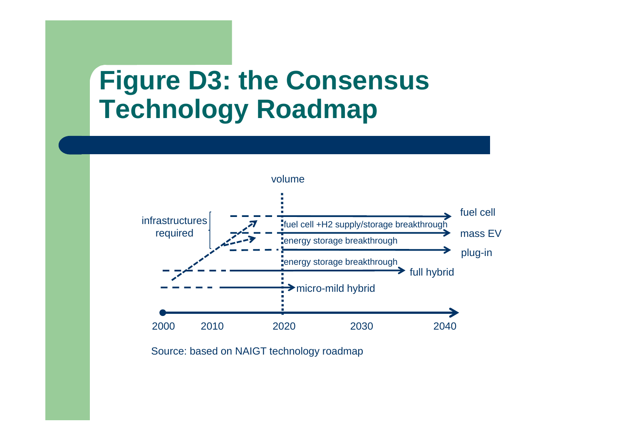### **Figure D3: the Consensus Technology Roadmap**



Source: based on NAIGT technology roadmap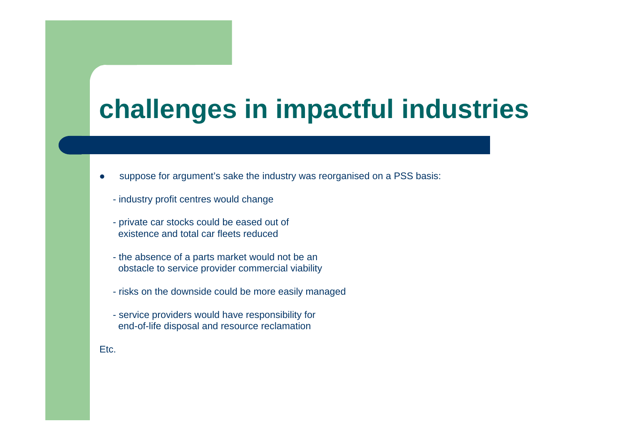# **challenges in impactful industries**

- $\bullet$  suppose for argument's sake the industry was reorganised on a PSS basis:
	- industry profit centres would change
	- private car stocks could be eased out of existence and total car fleets reduced
	- the absence of a parts market would not be an obstacle to service provider commercial viability
	- risks on the downside could be more easily managed
	- service providers would have responsibility for end-of-life disposal and resource reclamation

Etc.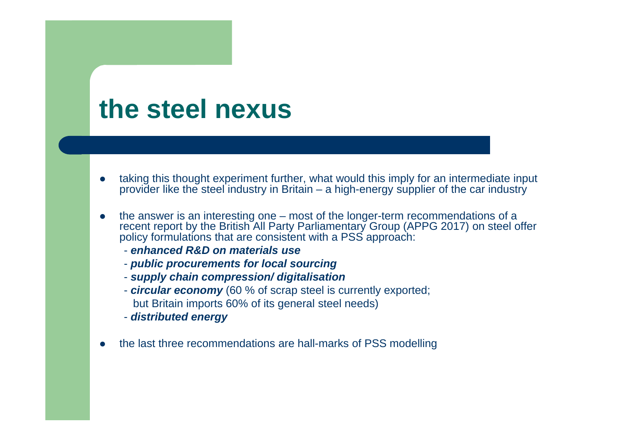#### **the steel nexus**

- 0 taking this thought experiment further, what would this imply for an intermediate input provider like the steel industry in Britain – a high-energy supplier of the car industry
- $\bullet$  the answer is an interesting one – most of the longer-term recommendations of a recent report by the British All Party Parliamentary Group (APPG 2017) on steel offer policy formulations that are consistent with a PSS approach:
	- *enhanced R&D on materials use*
	- *public procurements for local sourcing*
	- *supply chain compression/ digitalisation*
	- *circular economy* (60 % of scrap steel is currently exported; but Britain imports 60% of its general steel needs)
	- *distributed energy*
- 0 the last three recommendations are hall-marks of PSS modelling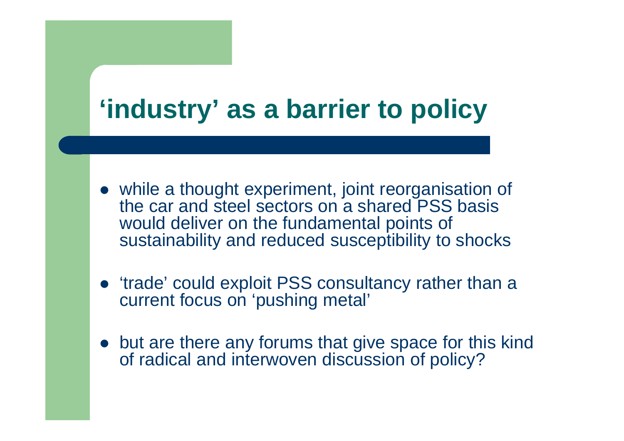## **'industry' as a barrier to policy**

- while a thought experiment, joint reorganisation of the car and steel sectors on a shared PSS basis would deliver on the fundamental points of sustainability and reduced susceptibility to shocks
- 'trade' could exploit PSS consultancy rather than a current focus on 'pushing metal'
- but are there any forums that give space for this kind of radical and interwoven discussion of policy?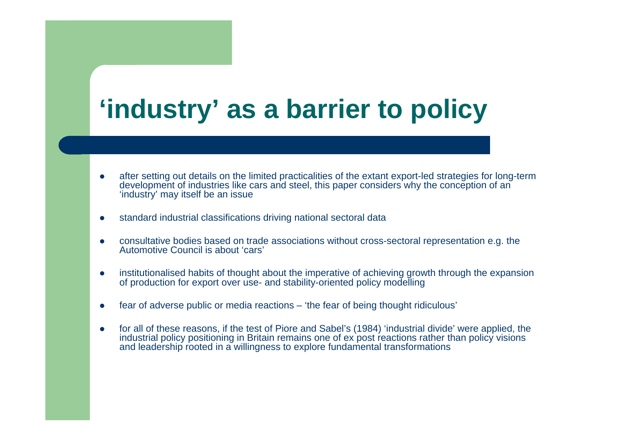# **'industry' as a barrier to policy**

- $\bullet$  after setting out details on the limited practicalities of the extant export-led strategies for long-term development of industries like cars and steel, this paper considers why the conception of an 'industry' may itself be an issue
- 0 standard industrial classifications driving national sectoral data
- 0 consultative bodies based on trade associations without cross-sectoral representation e.g. the Automotive Council is about 'cars'
- O institutionalised habits of thought about the imperative of achieving growth through the expansion of production for export over use- and stability-oriented policy modelling
- 0 fear of adverse public or media reactions – 'the fear of being thought ridiculous'
- Ô for all of these reasons, if the test of Piore and Sabel's (1984) 'industrial divide' were applied, the industrial policy positioning in Britain remains one of ex post reactions rather than policy visions and leadership rooted in a willingness to explore fundamental transformations